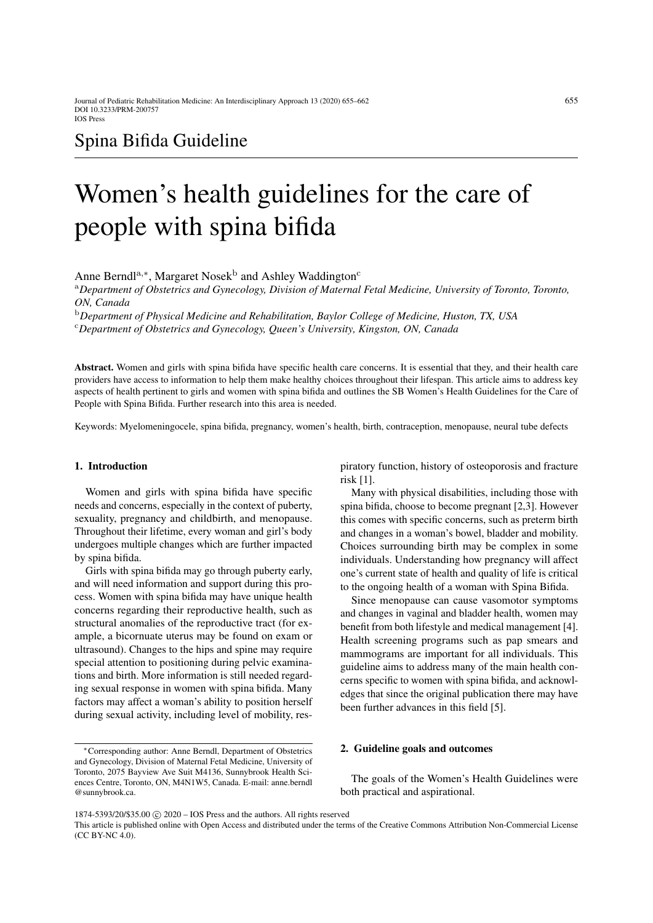# Spina Bifida Guideline

# Women's health guidelines for the care of people with spina bifida

Anne Berndl<sup>a,∗</sup>, Margaret Nosek<sup>b</sup> and Ashley Waddington<sup>c</sup>

<sup>a</sup>*Department of Obstetrics and Gynecology, Division of Maternal Fetal Medicine, University of Toronto, Toronto, ON, Canada*

<sup>b</sup>*Department of Physical Medicine and Rehabilitation, Baylor College of Medicine, Huston, TX, USA* <sup>c</sup>*Department of Obstetrics and Gynecology, Queen's University, Kingston, ON, Canada*

Abstract. Women and girls with spina bifida have specific health care concerns. It is essential that they, and their health care providers have access to information to help them make healthy choices throughout their lifespan. This article aims to address key aspects of health pertinent to girls and women with spina bifida and outlines the SB Women's Health Guidelines for the Care of People with Spina Bifida. Further research into this area is needed.

Keywords: Myelomeningocele, spina bifida, pregnancy, women's health, birth, contraception, menopause, neural tube defects

# 1. Introduction

Women and girls with spina bifida have specific needs and concerns, especially in the context of puberty, sexuality, pregnancy and childbirth, and menopause. Throughout their lifetime, every woman and girl's body undergoes multiple changes which are further impacted by spina bifida.

Girls with spina bifida may go through puberty early, and will need information and support during this process. Women with spina bifida may have unique health concerns regarding their reproductive health, such as structural anomalies of the reproductive tract (for example, a bicornuate uterus may be found on exam or ultrasound). Changes to the hips and spine may require special attention to positioning during pelvic examinations and birth. More information is still needed regarding sexual response in women with spina bifida. Many factors may affect a woman's ability to position herself during sexual activity, including level of mobility, res-

<sup>∗</sup>Corresponding author: Anne Berndl, Department of Obstetrics and Gynecology, Division of Maternal Fetal Medicine, University of Toronto, 2075 Bayview Ave Suit M4136, Sunnybrook Health Sciences Centre, Toronto, ON, M4N1W5, Canada. E-mail: anne.berndl @sunnybrook.ca.

piratory function, history of osteoporosis and fracture risk [\[1\]](#page-6-0).

Many with physical disabilities, including those with spina bifida, choose to become pregnant [\[2](#page-6-1)[,3\]](#page-6-2). However this comes with specific concerns, such as preterm birth and changes in a woman's bowel, bladder and mobility. Choices surrounding birth may be complex in some individuals. Understanding how pregnancy will affect one's current state of health and quality of life is critical to the ongoing health of a woman with Spina Bifida.

Since menopause can cause vasomotor symptoms and changes in vaginal and bladder health, women may benefit from both lifestyle and medical management [\[4\]](#page-6-3). Health screening programs such as pap smears and mammograms are important for all individuals. This guideline aims to address many of the main health concerns specific to women with spina bifida, and acknowledges that since the original publication there may have been further advances in this field [\[5\]](#page-6-4).

# 2. Guideline goals and outcomes

The goals of the Women's Health Guidelines were both practical and aspirational.

<sup>1874-5393/20/\$35.00 © 2020 -</sup> IOS Press and the authors. All rights reserved

This article is published online with Open Access and distributed under the terms of the Creative Commons Attribution Non-Commercial License (CC BY-NC 4.0).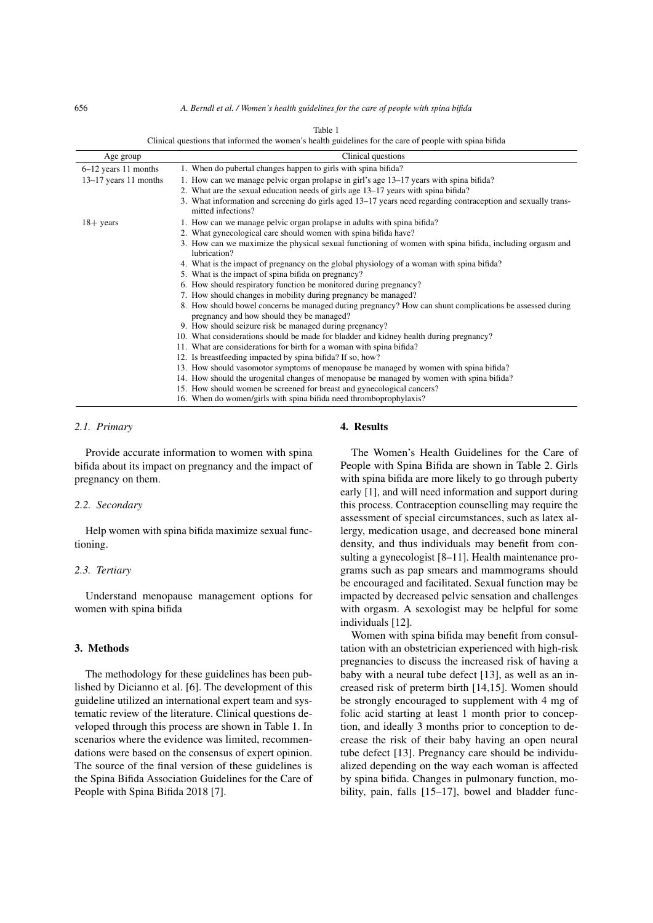656 *A. Berndl et al. / Women's health guidelines for the care of people with spina bifida*

<span id="page-1-0"></span>

| Clinical questions that informed the women s nealth guidelines for the care of people with spina binda |                                                                                                                                    |  |  |
|--------------------------------------------------------------------------------------------------------|------------------------------------------------------------------------------------------------------------------------------------|--|--|
| Age group                                                                                              | Clinical questions                                                                                                                 |  |  |
| $6-12$ years 11 months                                                                                 | 1. When do pubertal changes happen to girls with spina bifida?                                                                     |  |  |
| $13-17$ years 11 months                                                                                | 1. How can we manage pelvic organ prolapse in girl's age 13–17 years with spina bifida?                                            |  |  |
|                                                                                                        | 2. What are the sexual education needs of girls age 13–17 years with spina bifida?                                                 |  |  |
|                                                                                                        | 3. What information and screening do girls aged 13-17 years need regarding contraception and sexually trans-<br>mitted infections? |  |  |
| $18 + \text{years}$                                                                                    | 1. How can we manage pelvic organ prolapse in adults with spina bifida?                                                            |  |  |
|                                                                                                        | 2. What gynecological care should women with spina bifida have?                                                                    |  |  |
|                                                                                                        | 3. How can we maximize the physical sexual functioning of women with spina bifida, including orgasm and<br>lubrication?            |  |  |
|                                                                                                        | 4. What is the impact of pregnancy on the global physiology of a woman with spina bifida?                                          |  |  |
|                                                                                                        | 5. What is the impact of spina bifida on pregnancy?                                                                                |  |  |
|                                                                                                        | 6. How should respiratory function be monitored during pregnancy?                                                                  |  |  |
|                                                                                                        | 7. How should changes in mobility during pregnancy be managed?                                                                     |  |  |
|                                                                                                        | 8. How should bowel concerns be managed during pregnancy? How can shunt complications be assessed during                           |  |  |
|                                                                                                        | pregnancy and how should they be managed?                                                                                          |  |  |
|                                                                                                        | 9. How should seizure risk be managed during pregnancy?                                                                            |  |  |
|                                                                                                        | 10. What considerations should be made for bladder and kidney health during pregnancy?                                             |  |  |
|                                                                                                        | 11. What are considerations for birth for a woman with spina bifida?                                                               |  |  |
|                                                                                                        | 12. Is breastfeeding impacted by spina bifida? If so, how?                                                                         |  |  |
|                                                                                                        | 13. How should vasomotor symptoms of menopause be managed by women with spina bifida?                                              |  |  |
|                                                                                                        | 14. How should the urogenital changes of menopause be managed by women with spina bifida?                                          |  |  |
|                                                                                                        | 15. How should women be screened for breast and gynecological cancers?                                                             |  |  |
|                                                                                                        | 16. When do women/girls with spina bifida need thromboprophylaxis?                                                                 |  |  |

#### Table 1 Clinical questions that informed the women's health guidelines for the care of people with spina bifida

# *2.1. Primary*

Provide accurate information to women with spina bifida about its impact on pregnancy and the impact of pregnancy on them.

# *2.2. Secondary*

Help women with spina bifida maximize sexual functioning.

# *2.3. Tertiary*

Understand menopause management options for women with spina bifida

# 3. Methods

The methodology for these guidelines has been published by Dicianno et al. [\[6\]](#page-6-5). The development of this guideline utilized an international expert team and systematic review of the literature. Clinical questions developed through this process are shown in Table [1.](#page-1-0) In scenarios where the evidence was limited, recommendations were based on the consensus of expert opinion. The source of the final version of these guidelines is the Spina Bifida Association Guidelines for the Care of People with Spina Bifida 2018 [\[7\]](#page-6-6).

# 4. Results

The Women's Health Guidelines for the Care of People with Spina Bifida are shown in Table [2.](#page-2-0) Girls with spina bifida are more likely to go through puberty early [\[1\]](#page-6-0), and will need information and support during this process. Contraception counselling may require the assessment of special circumstances, such as latex allergy, medication usage, and decreased bone mineral density, and thus individuals may benefit from consulting a gynecologist [\[8](#page-6-7)[–11\]](#page-6-8). Health maintenance programs such as pap smears and mammograms should be encouraged and facilitated. Sexual function may be impacted by decreased pelvic sensation and challenges with orgasm. A sexologist may be helpful for some individuals [\[12\]](#page-6-9).

Women with spina bifida may benefit from consultation with an obstetrician experienced with high-risk pregnancies to discuss the increased risk of having a baby with a neural tube defect [\[13\]](#page-6-10), as well as an increased risk of preterm birth [\[14,](#page-6-11)[15\]](#page-6-12). Women should be strongly encouraged to supplement with 4 mg of folic acid starting at least 1 month prior to conception, and ideally 3 months prior to conception to decrease the risk of their baby having an open neural tube defect [\[13\]](#page-6-10). Pregnancy care should be individualized depending on the way each woman is affected by spina bifida. Changes in pulmonary function, mo-bility, pain, falls [\[15–](#page-6-12)[17\]](#page-7-0), bowel and bladder func-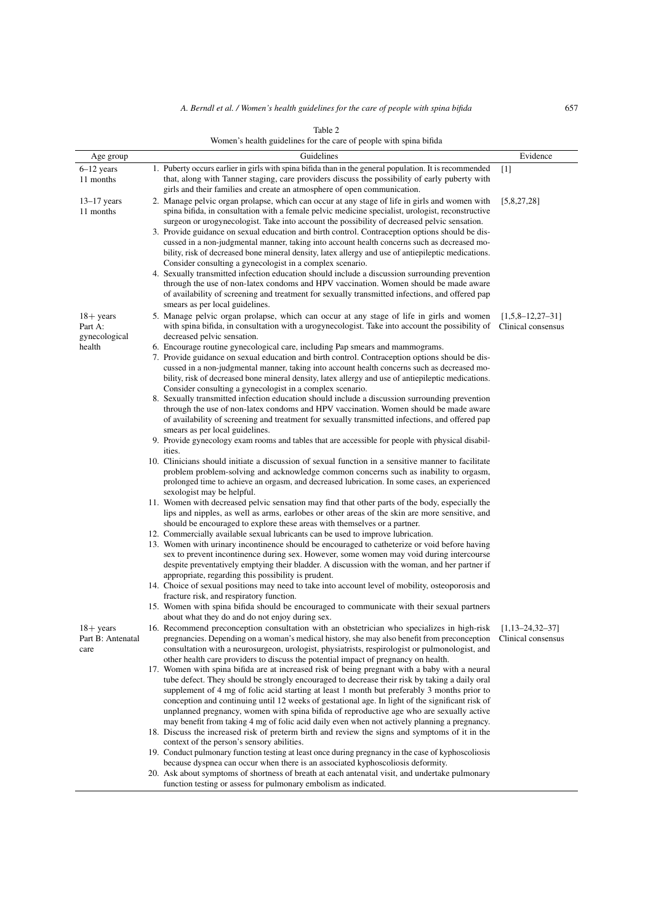# *A. Berndl et al. / Women's health guidelines for the care of people with spina bifida* 657

#### Table 2

Women's health guidelines for the care of people with spina bifida

<span id="page-2-0"></span>

|                           |  | Guidelines                                                                                                                                                                           | Evidence                |
|---------------------------|--|--------------------------------------------------------------------------------------------------------------------------------------------------------------------------------------|-------------------------|
| Age group<br>$6-12$ years |  | 1. Puberty occurs earlier in girls with spina bifida than in the general population. It is recommended                                                                               |                         |
| 11 months                 |  | that, along with Tanner staging, care providers discuss the possibility of early puberty with                                                                                        | $[1]$                   |
|                           |  | girls and their families and create an atmosphere of open communication.                                                                                                             |                         |
| $13-17$ years             |  | 2. Manage pelvic organ prolapse, which can occur at any stage of life in girls and women with                                                                                        | [5,8,27,28]             |
| 11 months                 |  | spina bifida, in consultation with a female pelvic medicine specialist, urologist, reconstructive                                                                                    |                         |
|                           |  | surgeon or urogynecologist. Take into account the possibility of decreased pelvic sensation.                                                                                         |                         |
|                           |  | 3. Provide guidance on sexual education and birth control. Contraception options should be dis-                                                                                      |                         |
|                           |  | cussed in a non-judgmental manner, taking into account health concerns such as decreased mo-                                                                                         |                         |
|                           |  | bility, risk of decreased bone mineral density, latex allergy and use of antiepileptic medications.                                                                                  |                         |
|                           |  | Consider consulting a gynecologist in a complex scenario.                                                                                                                            |                         |
|                           |  | 4. Sexually transmitted infection education should include a discussion surrounding prevention                                                                                       |                         |
|                           |  | through the use of non-latex condoms and HPV vaccination. Women should be made aware                                                                                                 |                         |
|                           |  | of availability of screening and treatment for sexually transmitted infections, and offered pap                                                                                      |                         |
|                           |  | smears as per local guidelines.                                                                                                                                                      |                         |
| $18 + \text{years}$       |  | 5. Manage pelvic organ prolapse, which can occur at any stage of life in girls and women                                                                                             | $[1,5,8-12,27-31]$      |
| Part A:                   |  | with spina bifida, in consultation with a urogynecologist. Take into account the possibility of                                                                                      | Clinical consensus      |
| gynecological             |  | decreased pelvic sensation.                                                                                                                                                          |                         |
| health                    |  | 6. Encourage routine gynecological care, including Pap smears and mammograms.                                                                                                        |                         |
|                           |  | 7. Provide guidance on sexual education and birth control. Contraception options should be dis-                                                                                      |                         |
|                           |  | cussed in a non-judgmental manner, taking into account health concerns such as decreased mo-                                                                                         |                         |
|                           |  | bility, risk of decreased bone mineral density, latex allergy and use of antiepileptic medications.<br>Consider consulting a gynecologist in a complex scenario.                     |                         |
|                           |  | 8. Sexually transmitted infection education should include a discussion surrounding prevention                                                                                       |                         |
|                           |  | through the use of non-latex condoms and HPV vaccination. Women should be made aware                                                                                                 |                         |
|                           |  | of availability of screening and treatment for sexually transmitted infections, and offered pap                                                                                      |                         |
|                           |  | smears as per local guidelines.                                                                                                                                                      |                         |
|                           |  | 9. Provide gynecology exam rooms and tables that are accessible for people with physical disabil-                                                                                    |                         |
|                           |  | ities.                                                                                                                                                                               |                         |
|                           |  | 10. Clinicians should initiate a discussion of sexual function in a sensitive manner to facilitate                                                                                   |                         |
|                           |  | problem problem-solving and acknowledge common concerns such as inability to orgasm,                                                                                                 |                         |
|                           |  | prolonged time to achieve an orgasm, and decreased lubrication. In some cases, an experienced                                                                                        |                         |
|                           |  | sexologist may be helpful.                                                                                                                                                           |                         |
|                           |  | 11. Women with decreased pelvic sensation may find that other parts of the body, especially the                                                                                      |                         |
|                           |  | lips and nipples, as well as arms, earlobes or other areas of the skin are more sensitive, and                                                                                       |                         |
|                           |  | should be encouraged to explore these areas with themselves or a partner.<br>12. Commercially available sexual lubricants can be used to improve lubrication.                        |                         |
|                           |  | 13. Women with urinary incontinence should be encouraged to catheterize or void before having                                                                                        |                         |
|                           |  | sex to prevent incontinence during sex. However, some women may void during intercourse                                                                                              |                         |
|                           |  | despite preventatively emptying their bladder. A discussion with the woman, and her partner if                                                                                       |                         |
|                           |  | appropriate, regarding this possibility is prudent.                                                                                                                                  |                         |
|                           |  | 14. Choice of sexual positions may need to take into account level of mobility, osteoporosis and                                                                                     |                         |
|                           |  | fracture risk, and respiratory function.                                                                                                                                             |                         |
|                           |  | 15. Women with spina bifida should be encouraged to communicate with their sexual partners                                                                                           |                         |
|                           |  | about what they do and do not enjoy during sex.                                                                                                                                      |                         |
| $18 +$ years              |  | 16. Recommend preconception consultation with an obstetrician who specializes in high-risk                                                                                           | $[1, 13 - 24, 32 - 37]$ |
| Part B: Antenatal         |  | pregnancies. Depending on a woman's medical history, she may also benefit from preconception                                                                                         | Clinical consensus      |
| care                      |  | consultation with a neurosurgeon, urologist, physiatrists, respirologist or pulmonologist, and                                                                                       |                         |
|                           |  | other health care providers to discuss the potential impact of pregnancy on health.<br>17. Women with spina bifida are at increased risk of being pregnant with a baby with a neural |                         |
|                           |  | tube defect. They should be strongly encouraged to decrease their risk by taking a daily oral                                                                                        |                         |
|                           |  | supplement of 4 mg of folic acid starting at least 1 month but preferably 3 months prior to                                                                                          |                         |
|                           |  | conception and continuing until 12 weeks of gestational age. In light of the significant risk of                                                                                     |                         |
|                           |  | unplanned pregnancy, women with spina bifida of reproductive age who are sexually active                                                                                             |                         |
|                           |  | may benefit from taking 4 mg of folic acid daily even when not actively planning a pregnancy.                                                                                        |                         |
|                           |  | 18. Discuss the increased risk of preterm birth and review the signs and symptoms of it in the                                                                                       |                         |
|                           |  | context of the person's sensory abilities.                                                                                                                                           |                         |
|                           |  | 19. Conduct pulmonary function testing at least once during pregnancy in the case of kyphoscoliosis                                                                                  |                         |
|                           |  | because dyspnea can occur when there is an associated kyphoscoliosis deformity.                                                                                                      |                         |
|                           |  | 20. Ask about symptoms of shortness of breath at each antenatal visit, and undertake pulmonary                                                                                       |                         |
|                           |  | function testing or assess for pulmonary embolism as indicated.                                                                                                                      |                         |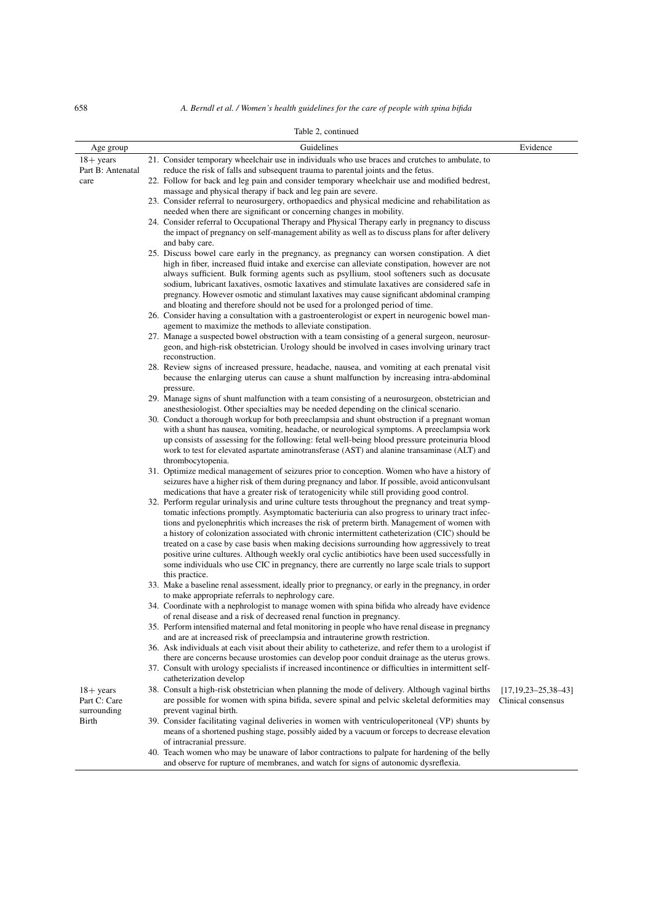# 658 *A. Berndl et al. / Women's health guidelines for the care of people with spina bifida*

| Table 2, continued          |                                                                                                                                                                                                    |                              |  |
|-----------------------------|----------------------------------------------------------------------------------------------------------------------------------------------------------------------------------------------------|------------------------------|--|
| Age group                   | Guidelines                                                                                                                                                                                         | Evidence                     |  |
| $18 + \text{years}$         | 21. Consider temporary wheelchair use in individuals who use braces and crutches to ambulate, to                                                                                                   |                              |  |
| Part B: Antenatal           | reduce the risk of falls and subsequent trauma to parental joints and the fetus.                                                                                                                   |                              |  |
| care                        | 22. Follow for back and leg pain and consider temporary wheelchair use and modified bedrest,<br>massage and physical therapy if back and leg pain are severe.                                      |                              |  |
|                             | 23. Consider referral to neurosurgery, orthopaedics and physical medicine and rehabilitation as                                                                                                    |                              |  |
|                             | needed when there are significant or concerning changes in mobility.                                                                                                                               |                              |  |
|                             | 24. Consider referral to Occupational Therapy and Physical Therapy early in pregnancy to discuss                                                                                                   |                              |  |
|                             | the impact of pregnancy on self-management ability as well as to discuss plans for after delivery                                                                                                  |                              |  |
|                             | and baby care.<br>25. Discuss bowel care early in the pregnancy, as pregnancy can worsen constipation. A diet                                                                                      |                              |  |
|                             | high in fiber, increased fluid intake and exercise can alleviate constipation, however are not                                                                                                     |                              |  |
|                             | always sufficient. Bulk forming agents such as psyllium, stool softeners such as docusate                                                                                                          |                              |  |
|                             | sodium, lubricant laxatives, osmotic laxatives and stimulate laxatives are considered safe in                                                                                                      |                              |  |
|                             | pregnancy. However osmotic and stimulant laxatives may cause significant abdominal cramping                                                                                                        |                              |  |
|                             | and bloating and therefore should not be used for a prolonged period of time.                                                                                                                      |                              |  |
|                             | 26. Consider having a consultation with a gastroenterologist or expert in neurogenic bowel man-<br>agement to maximize the methods to alleviate constipation.                                      |                              |  |
|                             | 27. Manage a suspected bowel obstruction with a team consisting of a general surgeon, neurosur-                                                                                                    |                              |  |
|                             | geon, and high-risk obstetrician. Urology should be involved in cases involving urinary tract                                                                                                      |                              |  |
|                             | reconstruction.                                                                                                                                                                                    |                              |  |
|                             | 28. Review signs of increased pressure, headache, nausea, and vomiting at each prenatal visit                                                                                                      |                              |  |
|                             | because the enlarging uterus can cause a shunt malfunction by increasing intra-abdominal<br>pressure.                                                                                              |                              |  |
|                             | 29. Manage signs of shunt malfunction with a team consisting of a neurosurgeon, obstetrician and                                                                                                   |                              |  |
|                             | anesthesiologist. Other specialties may be needed depending on the clinical scenario.                                                                                                              |                              |  |
|                             | 30. Conduct a thorough workup for both preeclampsia and shunt obstruction if a pregnant woman                                                                                                      |                              |  |
|                             | with a shunt has nausea, vomiting, headache, or neurological symptoms. A preeclampsia work                                                                                                         |                              |  |
|                             | up consists of assessing for the following: fetal well-being blood pressure proteinuria blood<br>work to test for elevated aspartate aminotransferase (AST) and alanine transaminase (ALT) and     |                              |  |
|                             | thrombocytopenia.                                                                                                                                                                                  |                              |  |
|                             | 31. Optimize medical management of seizures prior to conception. Women who have a history of                                                                                                       |                              |  |
|                             | seizures have a higher risk of them during pregnancy and labor. If possible, avoid anticonvulsant                                                                                                  |                              |  |
|                             | medications that have a greater risk of teratogenicity while still providing good control.                                                                                                         |                              |  |
|                             | 32. Perform regular urinalysis and urine culture tests throughout the pregnancy and treat symp-<br>tomatic infections promptly. Asymptomatic bacteriuria can also progress to urinary tract infec- |                              |  |
|                             | tions and pyelonephritis which increases the risk of preterm birth. Management of women with                                                                                                       |                              |  |
|                             | a history of colonization associated with chronic intermittent catheterization (CIC) should be                                                                                                     |                              |  |
|                             | treated on a case by case basis when making decisions surrounding how aggressively to treat                                                                                                        |                              |  |
|                             | positive urine cultures. Although weekly oral cyclic antibiotics have been used successfully in                                                                                                    |                              |  |
|                             | some individuals who use CIC in pregnancy, there are currently no large scale trials to support<br>this practice.                                                                                  |                              |  |
|                             | 33. Make a baseline renal assessment, ideally prior to pregnancy, or early in the pregnancy, in order                                                                                              |                              |  |
|                             | to make appropriate referrals to nephrology care.                                                                                                                                                  |                              |  |
|                             | 34. Coordinate with a nephrologist to manage women with spina bifida who already have evidence                                                                                                     |                              |  |
|                             | of renal disease and a risk of decreased renal function in pregnancy.                                                                                                                              |                              |  |
|                             | 35. Perform intensified maternal and fetal monitoring in people who have renal disease in pregnancy<br>and are at increased risk of preeclampsia and intrauterine growth restriction.              |                              |  |
|                             | 36. Ask individuals at each visit about their ability to catheterize, and refer them to a urologist if                                                                                             |                              |  |
|                             | there are concerns because urostomies can develop poor conduit drainage as the uterus grows.                                                                                                       |                              |  |
|                             | 37. Consult with urology specialists if increased incontinence or difficulties in intermittent self-                                                                                               |                              |  |
|                             | catheterization develop                                                                                                                                                                            |                              |  |
| $18 + \text{years}$         | 38. Consult a high-risk obstetrician when planning the mode of delivery. Although vaginal births                                                                                                   | $[17, 19, 23 - 25, 38 - 43]$ |  |
| Part C: Care<br>surrounding | are possible for women with spina bifida, severe spinal and pelvic skeletal deformities may<br>prevent vaginal birth.                                                                              | Clinical consensus           |  |
| Birth                       | 39. Consider facilitating vaginal deliveries in women with ventriculoperitoneal (VP) shunts by                                                                                                     |                              |  |
|                             | means of a shortened pushing stage, possibly aided by a vacuum or forceps to decrease elevation                                                                                                    |                              |  |
|                             | of intracranial pressure.                                                                                                                                                                          |                              |  |
|                             | 40. Teach women who may be unaware of labor contractions to palpate for hardening of the belly                                                                                                     |                              |  |
|                             | and observe for rupture of membranes, and watch for signs of autonomic dysreflexia.                                                                                                                |                              |  |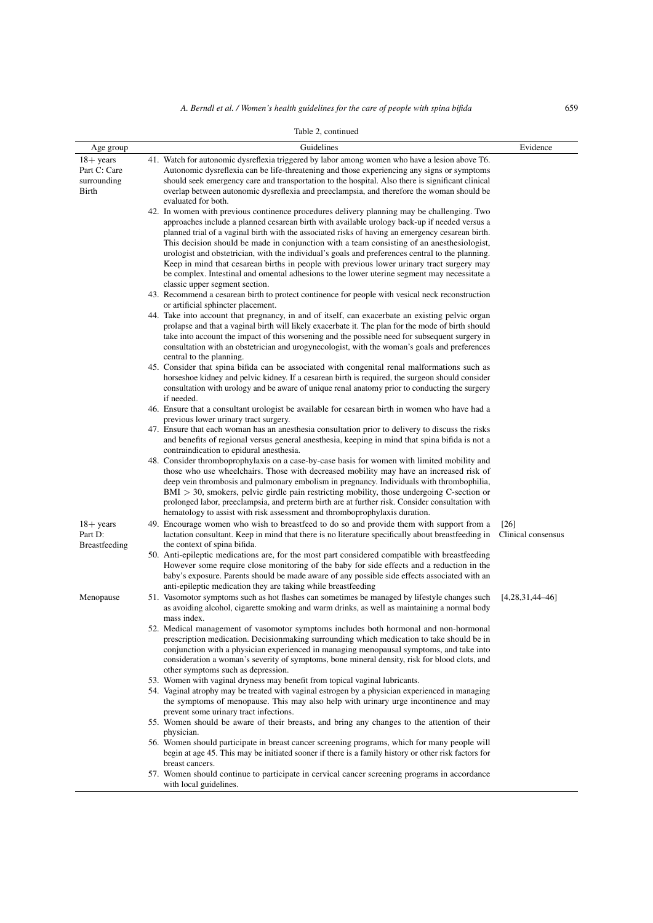*A. Berndl et al. / Women's health guidelines for the care of people with spina bifida* 659

|  | Table 2, continued |
|--|--------------------|
|--|--------------------|

| Age group            | Guidelines                                                                                                                                                                                         | Evidence           |
|----------------------|----------------------------------------------------------------------------------------------------------------------------------------------------------------------------------------------------|--------------------|
| $18 +$ years         | 41. Watch for autonomic dysreflexia triggered by labor among women who have a lesion above T6.                                                                                                     |                    |
| Part C: Care         | Autonomic dysreflexia can be life-threatening and those experiencing any signs or symptoms                                                                                                         |                    |
| surrounding          | should seek emergency care and transportation to the hospital. Also there is significant clinical                                                                                                  |                    |
| Birth                | overlap between autonomic dysreflexia and preeclampsia, and therefore the woman should be                                                                                                          |                    |
|                      | evaluated for both.                                                                                                                                                                                |                    |
|                      | 42. In women with previous continence procedures delivery planning may be challenging. Two                                                                                                         |                    |
|                      | approaches include a planned cesarean birth with available urology back-up if needed versus a                                                                                                      |                    |
|                      | planned trial of a vaginal birth with the associated risks of having an emergency cesarean birth.                                                                                                  |                    |
|                      | This decision should be made in conjunction with a team consisting of an anesthesiologist,                                                                                                         |                    |
|                      | urologist and obstetrician, with the individual's goals and preferences central to the planning.                                                                                                   |                    |
|                      | Keep in mind that cesarean births in people with previous lower urinary tract surgery may<br>be complex. Intestinal and omental adhesions to the lower uterine segment may necessitate a           |                    |
|                      | classic upper segment section.                                                                                                                                                                     |                    |
|                      | 43. Recommend a cesarean birth to protect continence for people with vesical neck reconstruction                                                                                                   |                    |
|                      | or artificial sphincter placement.                                                                                                                                                                 |                    |
|                      | 44. Take into account that pregnancy, in and of itself, can exacerbate an existing pelvic organ                                                                                                    |                    |
|                      | prolapse and that a vaginal birth will likely exacerbate it. The plan for the mode of birth should                                                                                                 |                    |
|                      | take into account the impact of this worsening and the possible need for subsequent surgery in                                                                                                     |                    |
|                      | consultation with an obstetrician and urogynecologist, with the woman's goals and preferences                                                                                                      |                    |
|                      | central to the planning.                                                                                                                                                                           |                    |
|                      | 45. Consider that spina bifida can be associated with congenital renal malformations such as                                                                                                       |                    |
|                      | horseshoe kidney and pelvic kidney. If a cesarean birth is required, the surgeon should consider                                                                                                   |                    |
|                      | consultation with urology and be aware of unique renal anatomy prior to conducting the surgery                                                                                                     |                    |
|                      | if needed.                                                                                                                                                                                         |                    |
|                      | 46. Ensure that a consultant urologist be available for cesarean birth in women who have had a                                                                                                     |                    |
|                      | previous lower urinary tract surgery.                                                                                                                                                              |                    |
|                      | 47. Ensure that each woman has an anesthesia consultation prior to delivery to discuss the risks<br>and benefits of regional versus general anesthesia, keeping in mind that spina bifida is not a |                    |
|                      | contraindication to epidural anesthesia.                                                                                                                                                           |                    |
|                      | 48. Consider thromboprophylaxis on a case-by-case basis for women with limited mobility and                                                                                                        |                    |
|                      | those who use wheelchairs. Those with decreased mobility may have an increased risk of                                                                                                             |                    |
|                      | deep vein thrombosis and pulmonary embolism in pregnancy. Individuals with thrombophilia,                                                                                                          |                    |
|                      | $BMI > 30$ , smokers, pelvic girdle pain restricting mobility, those undergoing C-section or                                                                                                       |                    |
|                      | prolonged labor, preeclampsia, and preterm birth are at further risk. Consider consultation with                                                                                                   |                    |
|                      | hematology to assist with risk assessment and thromboprophylaxis duration.                                                                                                                         |                    |
| $18 + \text{years}$  | 49. Encourage women who wish to breastfeed to do so and provide them with support from a                                                                                                           | [26]               |
| Part D:              | lactation consultant. Keep in mind that there is no literature specifically about breastfeeding in                                                                                                 | Clinical consensus |
| <b>Breastfeeding</b> | the context of spina bifida.                                                                                                                                                                       |                    |
|                      | 50. Anti-epileptic medications are, for the most part considered compatible with breastfeeding                                                                                                     |                    |
|                      | However some require close monitoring of the baby for side effects and a reduction in the                                                                                                          |                    |
|                      | baby's exposure. Parents should be made aware of any possible side effects associated with an                                                                                                      |                    |
| Menopause            | anti-epileptic medication they are taking while breastfeeding<br>51. Vasomotor symptoms such as hot flashes can sometimes be managed by lifestyle changes such                                     |                    |
|                      | as avoiding alcohol, cigarette smoking and warm drinks, as well as maintaining a normal body                                                                                                       | $[4,28,31,44-46]$  |
|                      | mass index.                                                                                                                                                                                        |                    |
|                      | 52. Medical management of vasomotor symptoms includes both hormonal and non-hormonal                                                                                                               |                    |
|                      | prescription medication. Decisionmaking surrounding which medication to take should be in                                                                                                          |                    |
|                      | conjunction with a physician experienced in managing menopausal symptoms, and take into                                                                                                            |                    |
|                      | consideration a woman's severity of symptoms, bone mineral density, risk for blood clots, and                                                                                                      |                    |
|                      | other symptoms such as depression.                                                                                                                                                                 |                    |
|                      | 53. Women with vaginal dryness may benefit from topical vaginal lubricants.                                                                                                                        |                    |
|                      | 54. Vaginal atrophy may be treated with vaginal estrogen by a physician experienced in managing                                                                                                    |                    |
|                      | the symptoms of menopause. This may also help with urinary urge incontinence and may                                                                                                               |                    |
|                      | prevent some urinary tract infections.                                                                                                                                                             |                    |
|                      | 55. Women should be aware of their breasts, and bring any changes to the attention of their<br>physician.                                                                                          |                    |
|                      | 56. Women should participate in breast cancer screening programs, which for many people will                                                                                                       |                    |
|                      | begin at age 45. This may be initiated sooner if there is a family history or other risk factors for                                                                                               |                    |
|                      | breast cancers.                                                                                                                                                                                    |                    |
|                      | 57. Women should continue to participate in cervical cancer screening programs in accordance                                                                                                       |                    |
|                      | with local guidelines.                                                                                                                                                                             |                    |
|                      |                                                                                                                                                                                                    |                    |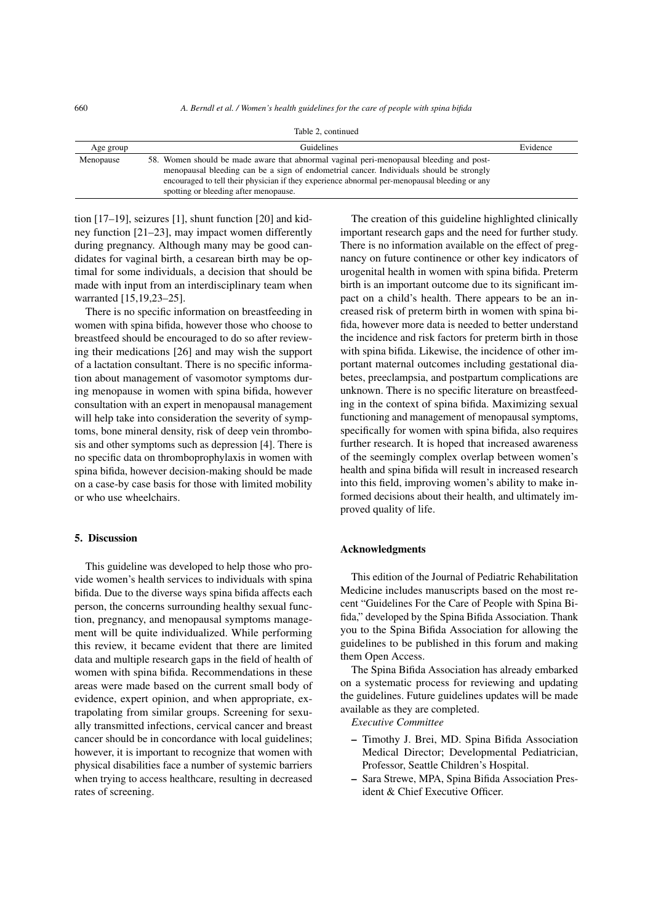660 *A. Berndl et al. / Women's health guidelines for the care of people with spina bifida*

|           | Table 2, continued                                                                                                                                                                                                                                                                                                           |          |
|-----------|------------------------------------------------------------------------------------------------------------------------------------------------------------------------------------------------------------------------------------------------------------------------------------------------------------------------------|----------|
| Age group | <b>Guidelines</b>                                                                                                                                                                                                                                                                                                            | Evidence |
| Menopause | 58. Women should be made aware that abnormal vaginal peri-menopausal bleeding and post-<br>menopausal bleeding can be a sign of endometrial cancer. Individuals should be strongly<br>encouraged to tell their physician if they experience abnormal per-menopausal bleeding or any<br>spotting or bleeding after menopause. |          |

tion [\[17](#page-7-0)[–19\]](#page-7-7), seizures [\[1\]](#page-6-0), shunt function [\[20\]](#page-7-15) and kidney function [\[21](#page-7-16)[–23\]](#page-7-8), may impact women differently during pregnancy. Although many may be good candidates for vaginal birth, a cesarean birth may be optimal for some individuals, a decision that should be made with input from an interdisciplinary team when warranted [\[15,](#page-6-12)[19](#page-7-7)[,23](#page-7-8)[–25\]](#page-7-9).

There is no specific information on breastfeeding in women with spina bifida, however those who choose to breastfeed should be encouraged to do so after reviewing their medications [\[26\]](#page-7-12) and may wish the support of a lactation consultant. There is no specific information about management of vasomotor symptoms during menopause in women with spina bifida, however consultation with an expert in menopausal management will help take into consideration the severity of symptoms, bone mineral density, risk of deep vein thrombosis and other symptoms such as depression [\[4\]](#page-6-3). There is no specific data on thromboprophylaxis in women with spina bifida, however decision-making should be made on a case-by case basis for those with limited mobility or who use wheelchairs.

# 5. Discussion

This guideline was developed to help those who provide women's health services to individuals with spina bifida. Due to the diverse ways spina bifida affects each person, the concerns surrounding healthy sexual function, pregnancy, and menopausal symptoms management will be quite individualized. While performing this review, it became evident that there are limited data and multiple research gaps in the field of health of women with spina bifida. Recommendations in these areas were made based on the current small body of evidence, expert opinion, and when appropriate, extrapolating from similar groups. Screening for sexually transmitted infections, cervical cancer and breast cancer should be in concordance with local guidelines; however, it is important to recognize that women with physical disabilities face a number of systemic barriers when trying to access healthcare, resulting in decreased rates of screening.

The creation of this guideline highlighted clinically important research gaps and the need for further study. There is no information available on the effect of pregnancy on future continence or other key indicators of urogenital health in women with spina bifida. Preterm birth is an important outcome due to its significant impact on a child's health. There appears to be an increased risk of preterm birth in women with spina bifida, however more data is needed to better understand the incidence and risk factors for preterm birth in those with spina bifida. Likewise, the incidence of other important maternal outcomes including gestational diabetes, preeclampsia, and postpartum complications are unknown. There is no specific literature on breastfeeding in the context of spina bifida. Maximizing sexual functioning and management of menopausal symptoms, specifically for women with spina bifida, also requires further research. It is hoped that increased awareness of the seemingly complex overlap between women's health and spina bifida will result in increased research into this field, improving women's ability to make informed decisions about their health, and ultimately improved quality of life.

# Acknowledgments

This edition of the Journal of Pediatric Rehabilitation Medicine includes manuscripts based on the most recent "Guidelines For the Care of People with Spina Bifida," developed by the Spina Bifida Association. Thank you to the Spina Bifida Association for allowing the guidelines to be published in this forum and making them Open Access.

The Spina Bifida Association has already embarked on a systematic process for reviewing and updating the guidelines. Future guidelines updates will be made available as they are completed.

*Executive Committee*

- Timothy J. Brei, MD. Spina Bifida Association Medical Director; Developmental Pediatrician, Professor, Seattle Children's Hospital.
- Sara Strewe, MPA, Spina Bifida Association President & Chief Executive Officer.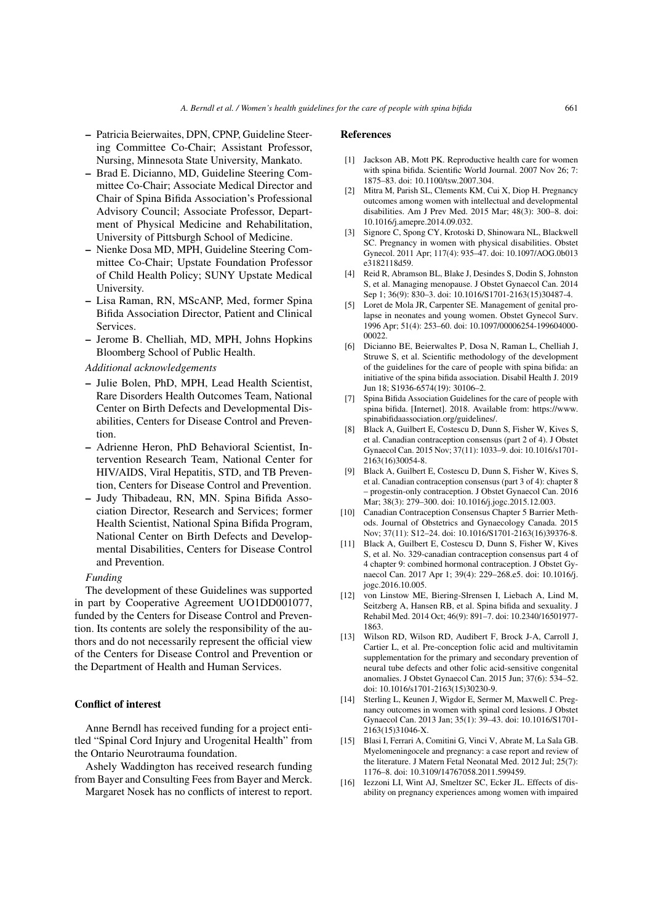- Patricia Beierwaites, DPN, CPNP, Guideline Steering Committee Co-Chair; Assistant Professor, Nursing, Minnesota State University, Mankato.
- Brad E. Dicianno, MD, Guideline Steering Committee Co-Chair; Associate Medical Director and Chair of Spina Bifida Association's Professional Advisory Council; Associate Professor, Department of Physical Medicine and Rehabilitation, University of Pittsburgh School of Medicine.
- Nienke Dosa MD, MPH, Guideline Steering Committee Co-Chair; Upstate Foundation Professor of Child Health Policy; SUNY Upstate Medical University.
- Lisa Raman, RN, MScANP, Med, former Spina Bifida Association Director, Patient and Clinical Services.
- Jerome B. Chelliah, MD, MPH, Johns Hopkins Bloomberg School of Public Health.

*Additional acknowledgements*

- Julie Bolen, PhD, MPH, Lead Health Scientist, Rare Disorders Health Outcomes Team, National Center on Birth Defects and Developmental Disabilities, Centers for Disease Control and Prevention.
- Adrienne Heron, PhD Behavioral Scientist, Intervention Research Team, National Center for HIV/AIDS, Viral Hepatitis, STD, and TB Prevention, Centers for Disease Control and Prevention.
- Judy Thibadeau, RN, MN. Spina Bifida Association Director, Research and Services; former Health Scientist, National Spina Bifida Program, National Center on Birth Defects and Developmental Disabilities, Centers for Disease Control and Prevention.

#### *Funding*

The development of these Guidelines was supported in part by Cooperative Agreement UO1DD001077, funded by the Centers for Disease Control and Prevention. Its contents are solely the responsibility of the authors and do not necessarily represent the official view of the Centers for Disease Control and Prevention or the Department of Health and Human Services.

# Conflict of interest

Anne Berndl has received funding for a project entitled "Spinal Cord Injury and Urogenital Health" from the Ontario Neurotrauma foundation.

Ashely Waddington has received research funding from Bayer and Consulting Fees from Bayer and Merck.

Margaret Nosek has no conflicts of interest to report.

#### References

- <span id="page-6-0"></span>[1] Jackson AB, Mott PK. Reproductive health care for women with spina bifida. Scientific World Journal. 2007 Nov 26: 7: 1875–83. doi: 10.1100/tsw.2007.304.
- <span id="page-6-1"></span>[2] Mitra M, Parish SL, Clements KM, Cui X, Diop H. Pregnancy outcomes among women with intellectual and developmental disabilities. Am J Prev Med. 2015 Mar; 48(3): 300–8. doi: 10.1016/j.amepre.2014.09.032.
- <span id="page-6-2"></span>[3] Signore C, Spong CY, Krotoski D, Shinowara NL, Blackwell SC. Pregnancy in women with physical disabilities. Obstet Gynecol. 2011 Apr; 117(4): 935–47. doi: 10.1097/AOG.0b013 e3182118d59.
- <span id="page-6-3"></span>[4] Reid R, Abramson BL, Blake J, Desindes S, Dodin S, Johnston S, et al. Managing menopause. J Obstet Gynaecol Can. 2014 Sep 1; 36(9): 830–3. doi: 10.1016/S1701-2163(15)30487-4.
- <span id="page-6-4"></span>[5] Loret de Mola JR, Carpenter SE. Management of genital prolapse in neonates and young women. Obstet Gynecol Surv. 1996 Apr; 51(4): 253–60. doi: 10.1097/00006254-199604000- 00022
- <span id="page-6-5"></span>[6] Dicianno BE, Beierwaltes P, Dosa N, Raman L, Chelliah J, Struwe S, et al. Scientific methodology of the development of the guidelines for the care of people with spina bifida: an initiative of the spina bifida association. Disabil Health J. 2019 Jun 18; S1936-6574(19): 30106–2.
- <span id="page-6-6"></span>[7] Spina Bifida Association Guidelines for the care of people with spina bifida. [Internet]. 2018. Available from: https://www. spinabifidaassociation.org/guidelines/.
- <span id="page-6-7"></span>[8] Black A, Guilbert E, Costescu D, Dunn S, Fisher W, Kives S, et al. Canadian contraception consensus (part 2 of 4). J Obstet Gynaecol Can. 2015 Nov; 37(11): 1033–9. doi: 10.1016/s1701- 2163(16)30054-8.
- [9] Black A, Guilbert E, Costescu D, Dunn S, Fisher W, Kives S, et al. Canadian contraception consensus (part 3 of 4): chapter 8 – progestin-only contraception. J Obstet Gynaecol Can. 2016 Mar: 38(3): 279–300. doi: 10.1016/j.jogc.2015.12.003.
- [10] Canadian Contraception Consensus Chapter 5 Barrier Methods. Journal of Obstetrics and Gynaecology Canada. 2015 Nov; 37(11): S12–24. doi: 10.1016/S1701-2163(16)39376-8.
- <span id="page-6-8"></span>[11] Black A, Guilbert E, Costescu D, Dunn S, Fisher W, Kives S, et al. No. 329-canadian contraception consensus part 4 of 4 chapter 9: combined hormonal contraception. J Obstet Gynaecol Can. 2017 Apr 1; 39(4): 229–268.e5. doi: 10.1016/j. jogc.2016.10.005.
- <span id="page-6-9"></span>[12] von Linstow ME, Biering-Słrensen I, Liebach A, Lind M, Seitzberg A, Hansen RB, et al. Spina bifida and sexuality. J Rehabil Med. 2014 Oct; 46(9): 891–7. doi: 10.2340/16501977- 1863.
- <span id="page-6-10"></span>[13] Wilson RD, Wilson RD, Audibert F, Brock J-A, Carroll J, Cartier L, et al. Pre-conception folic acid and multivitamin supplementation for the primary and secondary prevention of neural tube defects and other folic acid-sensitive congenital anomalies. J Obstet Gynaecol Can. 2015 Jun; 37(6): 534–52. doi: 10.1016/s1701-2163(15)30230-9.
- <span id="page-6-11"></span>[14] Sterling L, Keunen J, Wigdor E, Sermer M, Maxwell C. Pregnancy outcomes in women with spinal cord lesions. J Obstet Gynaecol Can. 2013 Jan; 35(1): 39–43. doi: 10.1016/S1701- 2163(15)31046-X.
- <span id="page-6-12"></span>[15] Blasi I, Ferrari A, Comitini G, Vinci V, Abrate M, La Sala GB. Myelomeningocele and pregnancy: a case report and review of the literature. J Matern Fetal Neonatal Med. 2012 Jul; 25(7): 1176–8. doi: 10.3109/14767058.2011.599459.
- [16] Iezzoni LL Wint AJ, Smeltzer SC, Ecker JL. Effects of disability on pregnancy experiences among women with impaired